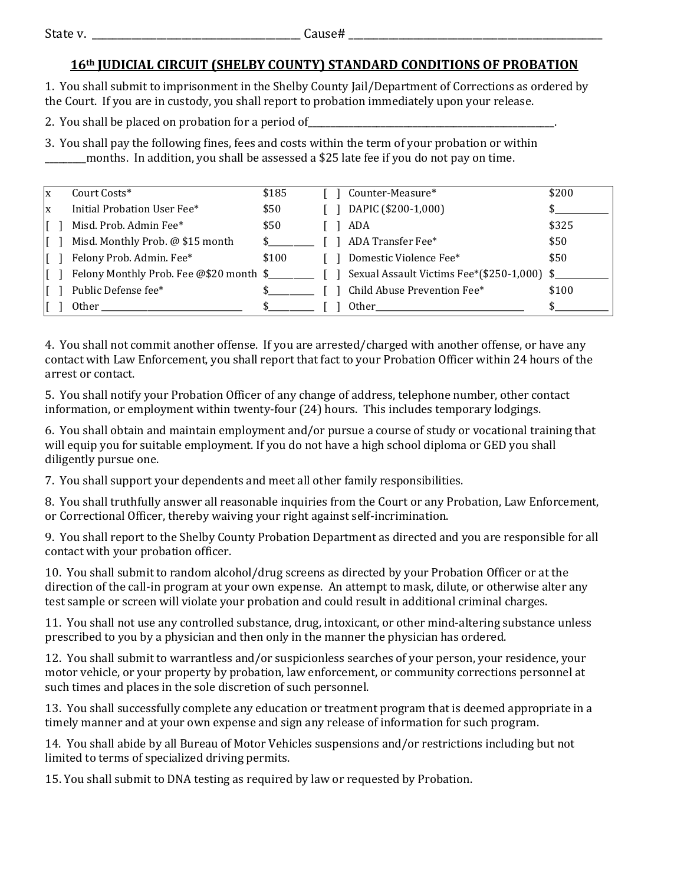## **16th JUDICIAL CIRCUIT (SHELBY COUNTY) STANDARD CONDITIONS OF PROBATION**

1. You shall submit to imprisonment in the Shelby County Jail/Department of Corrections as ordered by the Court. If you are in custody, you shall report to probation immediately upon your release.

2. You shall be placed on probation for a period of

3. You shall pay the following fines, fees and costs within the term of your probation or within \_\_\_\_\_\_\_\_\_months. In addition, you shall be assessed a \$25 late fee if you do not pay on time.

| ΙX | Court Costs*                                                                                                                                                                                                                   | \$185 |  | Counter-Measure*                                                                                                                                                                                                               | \$200 |
|----|--------------------------------------------------------------------------------------------------------------------------------------------------------------------------------------------------------------------------------|-------|--|--------------------------------------------------------------------------------------------------------------------------------------------------------------------------------------------------------------------------------|-------|
| X  | Initial Probation User Fee*                                                                                                                                                                                                    | \$50  |  | DAPIC (\$200-1,000)                                                                                                                                                                                                            |       |
|    | Misd. Prob. Admin Fee*                                                                                                                                                                                                         | \$50  |  | ADA                                                                                                                                                                                                                            | \$325 |
|    | Misd. Monthly Prob. @ \$15 month                                                                                                                                                                                               |       |  | ADA Transfer Fee*                                                                                                                                                                                                              | \$50  |
|    | Felony Prob. Admin. Fee*                                                                                                                                                                                                       | \$100 |  | Domestic Violence Fee*                                                                                                                                                                                                         | \$50  |
|    | Felony Monthly Prob. Fee @\$20 month \$                                                                                                                                                                                        |       |  | Sexual Assault Victims Fee*(\$250-1,000) \$                                                                                                                                                                                    |       |
|    | Public Defense fee*                                                                                                                                                                                                            |       |  | Child Abuse Prevention Fee*                                                                                                                                                                                                    | \$100 |
|    | Other the contract of the contract of the contract of the contract of the contract of the contract of the contract of the contract of the contract of the contract of the contract of the contract of the contract of the cont |       |  | Other the contract of the contract of the contract of the contract of the contract of the contract of the contract of the contract of the contract of the contract of the contract of the contract of the contract of the cont |       |

4. You shall not commit another offense. If you are arrested/charged with another offense, or have any contact with Law Enforcement, you shall report that fact to your Probation Officer within 24 hours of the arrest or contact.

5. You shall notify your Probation Officer of any change of address, telephone number, other contact information, or employment within twenty-four (24) hours. This includes temporary lodgings.

6. You shall obtain and maintain employment and/or pursue a course of study or vocational training that will equip you for suitable employment. If you do not have a high school diploma or GED you shall diligently pursue one.

7. You shall support your dependents and meet all other family responsibilities.

8. You shall truthfully answer all reasonable inquiries from the Court or any Probation, Law Enforcement, or Correctional Officer, thereby waiving your right against self-incrimination.

9. You shall report to the Shelby County Probation Department as directed and you are responsible for all contact with your probation officer.

10. You shall submit to random alcohol/drug screens as directed by your Probation Officer or at the direction of the call-in program at your own expense. An attempt to mask, dilute, or otherwise alter any test sample or screen will violate your probation and could result in additional criminal charges.

11. You shall not use any controlled substance, drug, intoxicant, or other mind-altering substance unless prescribed to you by a physician and then only in the manner the physician has ordered.

12. You shall submit to warrantless and/or suspicionless searches of your person, your residence, your motor vehicle, or your property by probation, law enforcement, or community corrections personnel at such times and places in the sole discretion of such personnel.

13. You shall successfully complete any education or treatment program that is deemed appropriate in a timely manner and at your own expense and sign any release of information for such program.

14. You shall abide by all Bureau of Motor Vehicles suspensions and/or restrictions including but not limited to terms of specialized driving permits.

15. You shall submit to DNA testing as required by law or requested by Probation.